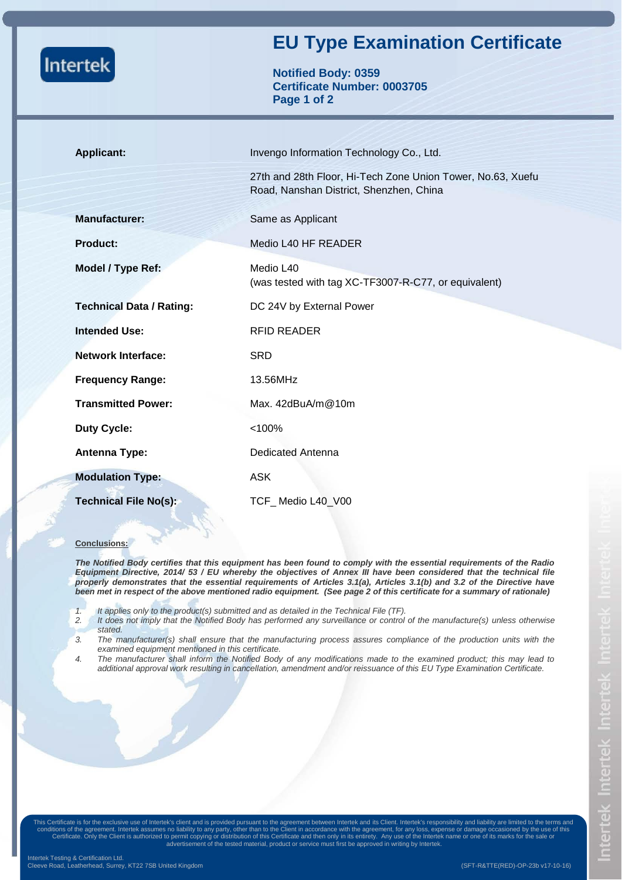| <b>Intertek</b>                 | <b>EU Type Examination Certificate</b><br><b>Notified Body: 0359</b><br><b>Certificate Number: 0003705</b><br>Page 1 of 2 |
|---------------------------------|---------------------------------------------------------------------------------------------------------------------------|
| <b>Applicant:</b>               | Invengo Information Technology Co., Ltd.                                                                                  |
|                                 | 27th and 28th Floor, Hi-Tech Zone Union Tower, No.63, Xuefu<br>Road, Nanshan District, Shenzhen, China                    |
| <b>Manufacturer:</b>            | Same as Applicant                                                                                                         |
| <b>Product:</b>                 | Medio L40 HF READER                                                                                                       |
| Model / Type Ref:               | Medio L40<br>(was tested with tag XC-TF3007-R-C77, or equivalent)                                                         |
| <b>Technical Data / Rating:</b> | DC 24V by External Power                                                                                                  |
| <b>Intended Use:</b>            | <b>RFID READER</b>                                                                                                        |
| <b>Network Interface:</b>       | <b>SRD</b>                                                                                                                |
| <b>Frequency Range:</b>         | 13.56MHz                                                                                                                  |
| <b>Transmitted Power:</b>       | Max. 42dBuA/m@10m                                                                                                         |
| <b>Duty Cycle:</b>              | < 100%                                                                                                                    |
| <b>Antenna Type:</b>            | <b>Dedicated Antenna</b>                                                                                                  |
| <b>Modulation Type:</b>         | <b>ASK</b>                                                                                                                |
| <b>Technical File No(s):</b>    | TCF_Medio L40_V00                                                                                                         |

## **Conclusions:**

*The Notified Body certifies that this equipment has been found to comply with the essential requirements of the Radio Equipment Directive, 2014/ 53 / EU whereby the objectives of Annex III have been considered that the technical file properly demonstrates that the essential requirements of Articles 3.1(a), Articles 3.1(b) and 3.2 of the Directive have been met in respect of the above mentioned radio equipment. (See page 2 of this certificate for a summary of rationale)* 

- *1. It applies only to the product(s) submitted and as detailed in the Technical File (TF).*
- *2. It does not imply that the Notified Body has performed any surveillance or control of the manufacture(s) unless otherwise stated.*
- *3. The manufacturer(s) shall ensure that the manufacturing process assures compliance of the production units with the examined equipment mentioned in this certificate.*
- *4. The manufacturer shall inform the Notified Body of any modifications made to the examined product; this may lead to additional approval work resulting in cancellation, amendment and/or reissuance of this EU Type Examination Certificate.*

conditions of the agreement. Intertek assumes no liability to any party, other than to the Client in accordance with the agreement, for any loss, expense or damage occasioned by the use of this<br>Certificate. Only the Client This Certificate is for the exclusive use of Intertek's client and is provided pursuant to the agreement between Intertek and its Client. Intertek's responsibility and liability are limited to the terms and advertisement of the tested material, product or service must first be approved in writing by Intertek